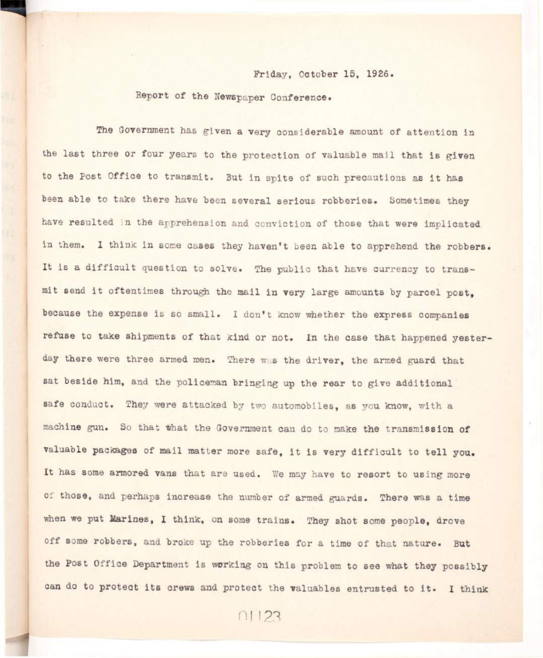## Friday, October 15, 1926.

## Report of the Newspaper Conference.

The Government has given a very considerable amount of attention in the last three or four years to the protection of valuable mail that is given **to the Post Office to transmit. But i n spite of such precautions as i t has been able to take there have been several serious robberies. Sometimes they have resulted in the apprehension and conviction of those that were implicated**  in them. I think in some cases they haven't been able to apprehend the robbers. It is a difficult question to solve. The public that have currency to trans**mit send i t oftentimes through the mail i n very large amounts by parcel post, because the expense is so small.** I don't know whether the express companies **refuse to take shipments of that kind or not. In the case that happened yesterday there were three armed men. There was the driver, the armed guard that sat beside him, and the policeman bringing up the rear to give additional safe conduct. They were attacked by two automobiles, as you know, with a machine gun. So that What the Government can do to make the transmission of**  valuable packages of mail matter more safe. it is very difficult to tell you. **It has some armored vans that are used. We may have to resort to using more of those, and perhaps increase the number of armed guards. There was a time**  when we put Marines, I think, on some trains. They shot some people, drove off some robbers, and broke up the robberies for a time of that nature. But the Post Office Department is working on this problem to see what they possibly can do to protect its crews and protect the valuables entrusted to it. I think

 $01123$